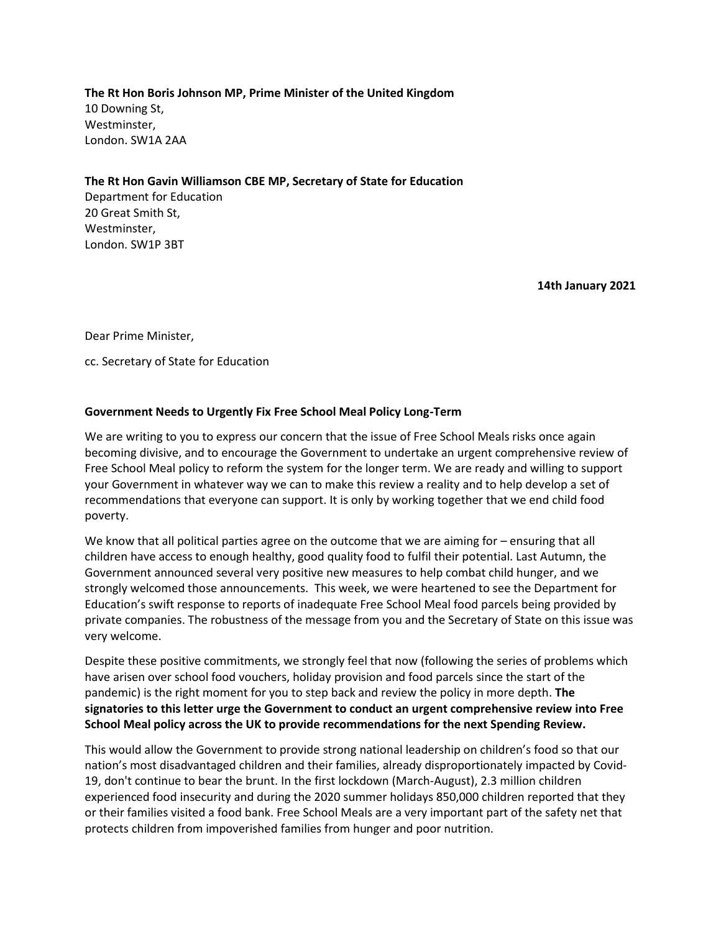**The Rt Hon Boris Johnson MP, Prime Minister of the United Kingdom** 10 Downing St, Westminster, London. SW1A 2AA

**The Rt Hon Gavin Williamson CBE MP, Secretary of State for Education**

Department for Education 20 Great Smith St, Westminster, London. SW1P 3BT

**14th January 2021**

Dear Prime Minister,

cc. Secretary of State for Education

# **Government Needs to Urgently Fix Free School Meal Policy Long-Term**

We are writing to you to express our concern that the issue of Free School Meals risks once again becoming divisive, and to encourage the Government to undertake an urgent comprehensive review of Free School Meal policy to reform the system for the longer term. We are ready and willing to support your Government in whatever way we can to make this review a reality and to help develop a set of recommendations that everyone can support. It is only by working together that we end child food poverty.

We know that all political parties agree on the outcome that we are aiming for – ensuring that all children have access to enough healthy, good quality food to fulfil their potential. Last Autumn, the Government announced several very positive new measures to help combat child hunger, and we strongly welcomed those announcements. This week, we were heartened to see the Department for Education's swift response to reports of inadequate Free School Meal food parcels being provided by private companies. The robustness of the message from you and the Secretary of State on this issue was very welcome.

Despite these positive commitments, we strongly feel that now (following the series of problems which have arisen over school food vouchers, holiday provision and food parcels since the start of the pandemic) is the right moment for you to step back and review the policy in more depth. **The signatories to this letter urge the Government to conduct an urgent comprehensive review into Free School Meal policy across the UK to provide recommendations for the next Spending Review.**

This would allow the Government to provide strong national leadership on children's food so that our nation's most disadvantaged children and their families, already disproportionately impacted by Covid-19, don't continue to bear the brunt. In the first lockdown (March-August), 2.3 million children experienced food insecurity and during the 2020 summer holidays 850,000 children reported that they or their families visited a food bank. Free School Meals are a very important part of the safety net that protects children from impoverished families from hunger and poor nutrition.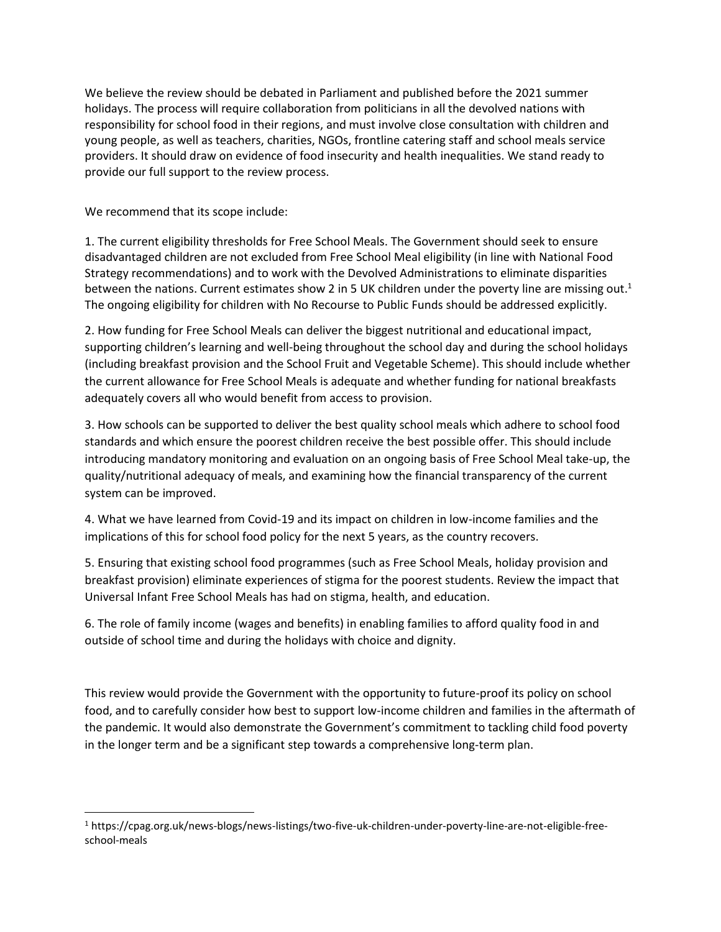We believe the review should be debated in Parliament and published before the 2021 summer holidays. The process will require collaboration from politicians in all the devolved nations with responsibility for school food in their regions, and must involve close consultation with children and young people, as well as teachers, charities, NGOs, frontline catering staff and school meals service providers. It should draw on evidence of food insecurity and health inequalities. We stand ready to provide our full support to the review process.

We recommend that its scope include:

1. The current eligibility thresholds for Free School Meals. The Government should seek to ensure disadvantaged children are not excluded from Free School Meal eligibility (in line with National Food Strategy recommendations) and to work with the Devolved Administrations to eliminate disparities between the nations. Current estimates show 2 in 5 UK children under the poverty line are missing out.<sup>1</sup> The ongoing eligibility for children with No Recourse to Public Funds should be addressed explicitly.

2. How funding for Free School Meals can deliver the biggest nutritional and educational impact, supporting children's learning and well-being throughout the school day and during the school holidays (including breakfast provision and the School Fruit and Vegetable Scheme). This should include whether the current allowance for Free School Meals is adequate and whether funding for national breakfasts adequately covers all who would benefit from access to provision.

3. How schools can be supported to deliver the best quality school meals which adhere to school food standards and which ensure the poorest children receive the best possible offer. This should include introducing mandatory monitoring and evaluation on an ongoing basis of Free School Meal take-up, the quality/nutritional adequacy of meals, and examining how the financial transparency of the current system can be improved.

4. What we have learned from Covid-19 and its impact on children in low-income families and the implications of this for school food policy for the next 5 years, as the country recovers.

5. Ensuring that existing school food programmes (such as Free School Meals, holiday provision and breakfast provision) eliminate experiences of stigma for the poorest students. Review the impact that Universal Infant Free School Meals has had on stigma, health, and education.

6. The role of family income (wages and benefits) in enabling families to afford quality food in and outside of school time and during the holidays with choice and dignity.

This review would provide the Government with the opportunity to future-proof its policy on school food, and to carefully consider how best to support low-income children and families in the aftermath of the pandemic. It would also demonstrate the Government's commitment to tackling child food poverty in the longer term and be a significant step towards a comprehensive long-term plan.

<sup>1</sup> https://cpag.org.uk/news-blogs/news-listings/two-five-uk-children-under-poverty-line-are-not-eligible-freeschool-meals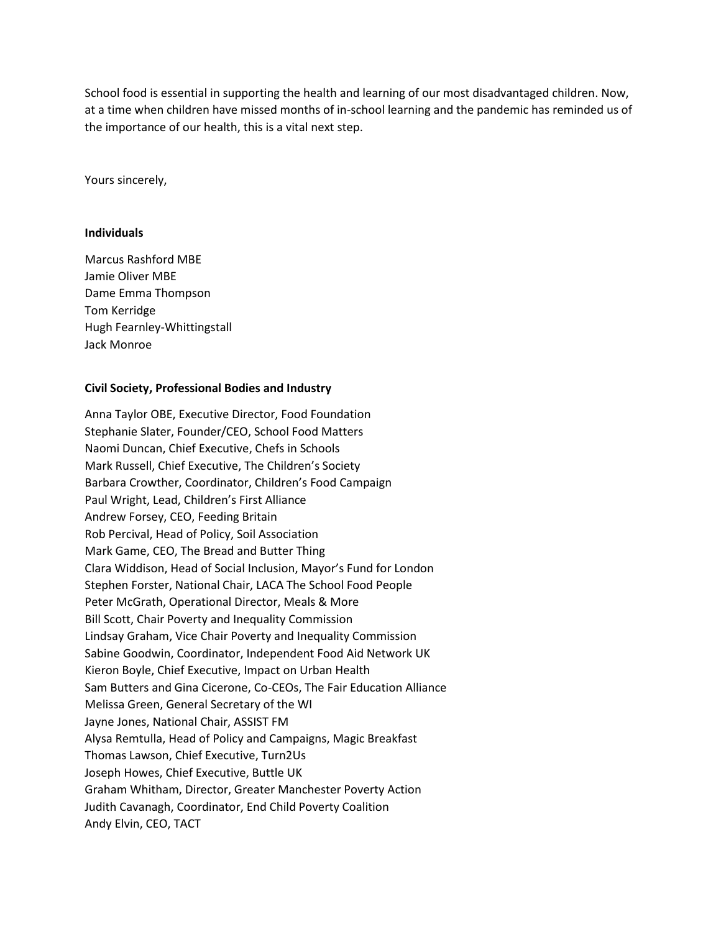School food is essential in supporting the health and learning of our most disadvantaged children. Now, at a time when children have missed months of in-school learning and the pandemic has reminded us of the importance of our health, this is a vital next step.

Yours sincerely,

#### **Individuals**

Marcus Rashford MBE Jamie Oliver MBE Dame Emma Thompson Tom Kerridge Hugh Fearnley-Whittingstall Jack Monroe

# **Civil Society, Professional Bodies and Industry**

Anna Taylor OBE, Executive Director, Food Foundation Stephanie Slater, Founder/CEO, School Food Matters Naomi Duncan, Chief Executive, Chefs in Schools Mark Russell, Chief Executive, The Children's Society Barbara Crowther, Coordinator, Children's Food Campaign Paul Wright, Lead, Children's First Alliance Andrew Forsey, CEO, Feeding Britain Rob Percival, Head of Policy, Soil Association Mark Game, CEO, The Bread and Butter Thing Clara Widdison, Head of Social Inclusion, Mayor's Fund for London Stephen Forster, National Chair, LACA The School Food People Peter McGrath, Operational Director, Meals & More Bill Scott, Chair Poverty and Inequality Commission Lindsay Graham, Vice Chair Poverty and Inequality Commission Sabine Goodwin, Coordinator, Independent Food Aid Network UK Kieron Boyle, Chief Executive, Impact on Urban Health Sam Butters and Gina Cicerone, Co-CEOs, The Fair Education Alliance Melissa Green, General Secretary of the WI Jayne Jones, National Chair, ASSIST FM Alysa Remtulla, Head of Policy and Campaigns, Magic Breakfast Thomas Lawson, Chief Executive, Turn2Us Joseph Howes, Chief Executive, Buttle UK Graham Whitham, Director, Greater Manchester Poverty Action Judith Cavanagh, Coordinator, End Child Poverty Coalition Andy Elvin, CEO, TACT